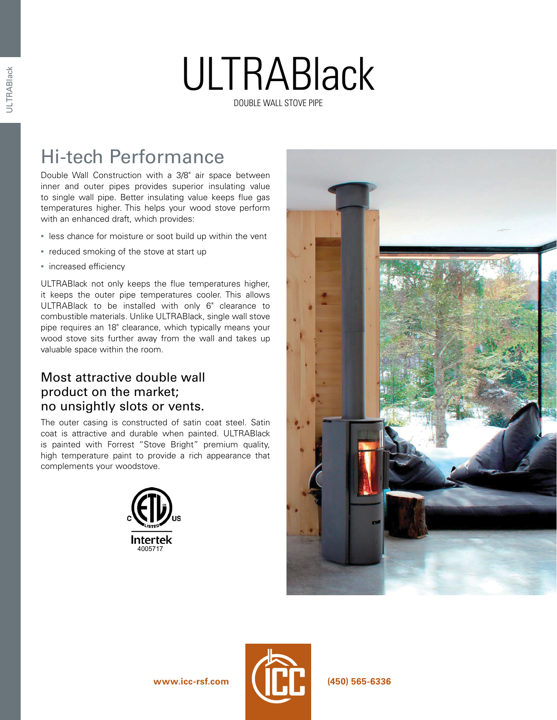## ULTRABlack DOUBLE WALL STOVE PIPE

### Hi-tech Performance

Double Wall Construction with a 3/8" air space between inner and outer pipes provides superior insulating value to single wall pipe. Better insulating value keeps flue gas temperatures higher. This helps your wood stove perform with an enhanced draft, which provides:

- **EXE** less chance for moisture or soot build up within the vent
- reduced smoking of the stove at start up
- **·** increased efficiency

ULTRABlack not only keeps the flue temperatures higher, it keeps the outer pipe temperatures cooler. This allows ULTRABlack to be installed with only 6" clearance to combustible materials. Unlike ULTRABlack, single wall stove pipe requires an 18" clearance, which typically means your wood stove sits further away from the wall and takes up valuable space within the room.

### Most attractive double wall product on the market; no unsightly slots or vents.

The outer casing is constructed of satin coat steel. Satin coat is attractive and durable when painted. ULTRABlack is painted with Forrest "Stove Bright" premium quality, high temperature paint to provide a rich appearance that complements your woodstove.